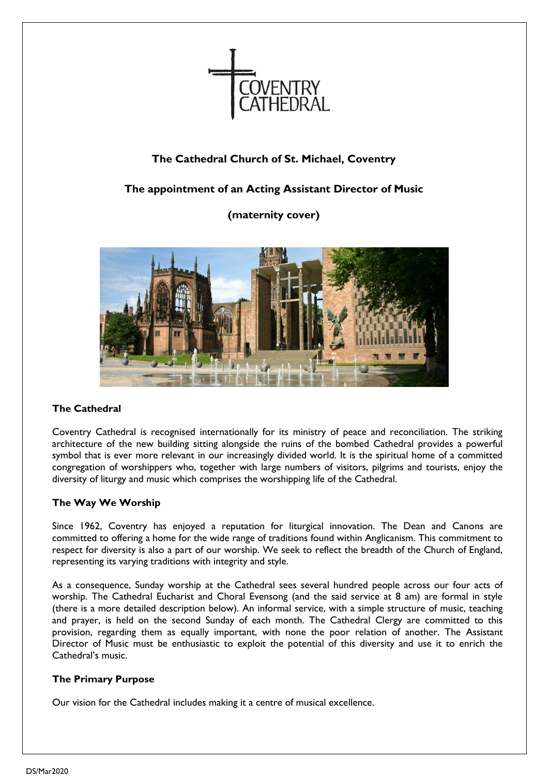

### **The Cathedral Church of St. Michael, Coventry**

### **The appointment of an Acting Assistant Director of Music**

**(maternity cover)**



### **The Cathedral**

Coventry Cathedral is recognised internationally for its ministry of peace and reconciliation. The striking architecture of the new building sitting alongside the ruins of the bombed Cathedral provides a powerful symbol that is ever more relevant in our increasingly divided world. It is the spiritual home of a committed congregation of worshippers who, together with large numbers of visitors, pilgrims and tourists, enjoy the diversity of liturgy and music which comprises the worshipping life of the Cathedral.

### **The Way We Worship**

Since 1962, Coventry has enjoyed a reputation for liturgical innovation. The Dean and Canons are committed to offering a home for the wide range of traditions found within Anglicanism. This commitment to respect for diversity is also a part of our worship. We seek to reflect the breadth of the Church of England, representing its varying traditions with integrity and style.

As a consequence, Sunday worship at the Cathedral sees several hundred people across our four acts of worship. The Cathedral Eucharist and Choral Evensong (and the said service at 8 am) are formal in style (there is a more detailed description below). An informal service, with a simple structure of music, teaching and prayer, is held on the second Sunday of each month. The Cathedral Clergy are committed to this provision, regarding them as equally important, with none the poor relation of another. The Assistant Director of Music must be enthusiastic to exploit the potential of this diversity and use it to enrich the Cathedral's music.

### **The Primary Purpose**

Our vision for the Cathedral includes making it a centre of musical excellence.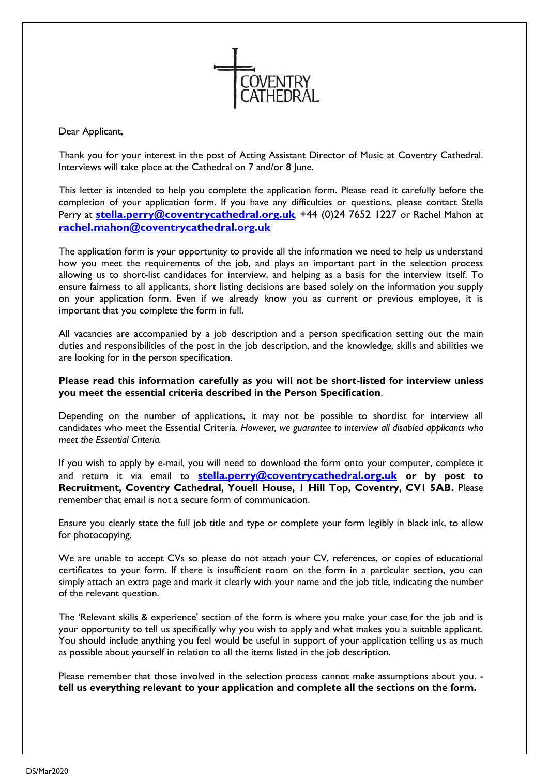

Dear Applicant,

Thank you for your interest in the post of Acting Assistant Director of Music at Coventry Cathedral. Interviews will take place at the Cathedral on 7 and/or 8 June.

This letter is intended to help you complete the application form. Please read it carefully before the completion of your application form. If you have any difficulties or questions, please contact Stella Perry at **[stella.perry@coventrycathedral.org.uk](mailto:stella.perry@coventrycathedral.org.uk)**, +44 (0)24 7652 1227 or Rachel Mahon at **[rachel.mahon@coventrycathedral.org.uk](mailto:rachel.mahon@coventrycathedral.org.uk)**

The application form is your opportunity to provide all the information we need to help us understand how you meet the requirements of the job, and plays an important part in the selection process allowing us to short-list candidates for interview, and helping as a basis for the interview itself. To ensure fairness to all applicants, short listing decisions are based solely on the information you supply on your application form. Even if we already know you as current or previous employee, it is important that you complete the form in full.

All vacancies are accompanied by a job description and a person specification setting out the main duties and responsibilities of the post in the job description, and the knowledge, skills and abilities we are looking for in the person specification.

#### **Please read this information carefully as you will not be short-listed for interview unless you meet the essential criteria described in the Person Specification**.

Depending on the number of applications, it may not be possible to shortlist for interview all candidates who meet the Essential Criteria. *However, we guarantee to interview all disabled applicants who meet the Essential Criteria.*

If you wish to apply by e-mail, you will need to download the form onto your computer, complete it and return it via email to **[stella.perry@coventrycathedral.org.uk](mailto:stella.perry@coventrycathedral.org.uk) or by post to Recruitment, Coventry Cathedral, Youell House, 1 Hill Top, Coventry, CV1 5AB.** Please remember that email is not a secure form of communication.

Ensure you clearly state the full job title and type or complete your form legibly in black ink, to allow for photocopying.

We are unable to accept CVs so please do not attach your CV, references, or copies of educational certificates to your form. If there is insufficient room on the form in a particular section, you can simply attach an extra page and mark it clearly with your name and the job title, indicating the number of the relevant question.

The 'Relevant skills & experience' section of the form is where you make your case for the job and is your opportunity to tell us specifically why you wish to apply and what makes you a suitable applicant. You should include anything you feel would be useful in support of your application telling us as much as possible about yourself in relation to all the items listed in the job description.

Please remember that those involved in the selection process cannot make assumptions about you. **tell us everything relevant to your application and complete all the sections on the form.**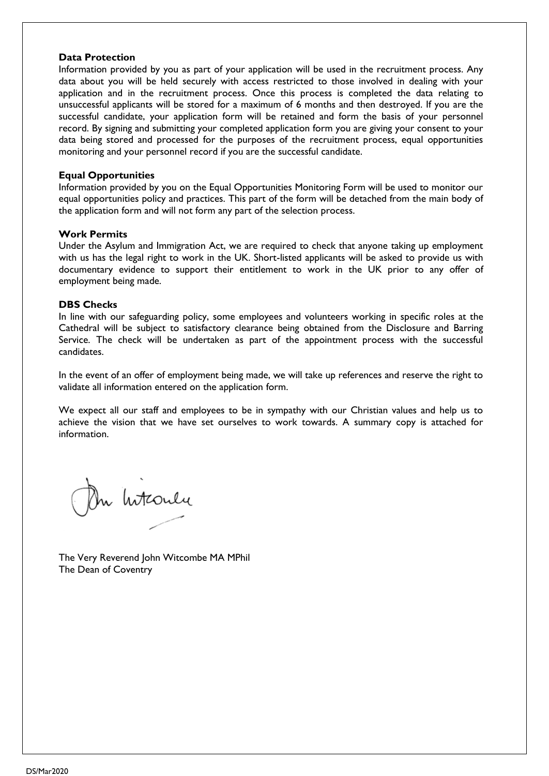#### **Data Protection**

Information provided by you as part of your application will be used in the recruitment process. Any data about you will be held securely with access restricted to those involved in dealing with your application and in the recruitment process. Once this process is completed the data relating to unsuccessful applicants will be stored for a maximum of 6 months and then destroyed. If you are the successful candidate, your application form will be retained and form the basis of your personnel record. By signing and submitting your completed application form you are giving your consent to your data being stored and processed for the purposes of the recruitment process, equal opportunities monitoring and your personnel record if you are the successful candidate.

#### **Equal Opportunities**

Information provided by you on the Equal Opportunities Monitoring Form will be used to monitor our equal opportunities policy and practices. This part of the form will be detached from the main body of the application form and will not form any part of the selection process.

#### **Work Permits**

Under the Asylum and Immigration Act, we are required to check that anyone taking up employment with us has the legal right to work in the UK. Short-listed applicants will be asked to provide us with documentary evidence to support their entitlement to work in the UK prior to any offer of employment being made.

#### **DBS Checks**

In line with our safeguarding policy, some employees and volunteers working in specific roles at the Cathedral will be subject to satisfactory clearance being obtained from the Disclosure and Barring Service. The check will be undertaken as part of the appointment process with the successful candidates.

In the event of an offer of employment being made, we will take up references and reserve the right to validate all information entered on the application form.

We expect all our staff and employees to be in sympathy with our Christian values and help us to achieve the vision that we have set ourselves to work towards. A summary copy is attached for information.

On Interneur

The Very Reverend John Witcombe MA MPhil The Dean of Coventry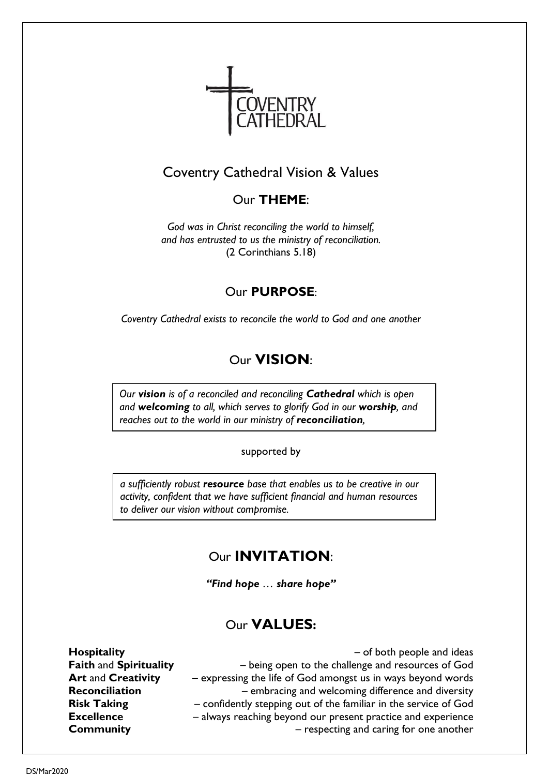

## Coventry Cathedral Vision & Values

## Our **THEME**:

*God was in Christ reconciling the world to himself, and has entrusted to us the ministry of reconciliation.* (2 Corinthians 5.18)

## Our **PURPOSE**:

*Coventry Cathedral exists to reconcile the world to God and one another*

# Our **VISION**:

*Our vision is of a reconciled and reconciling Cathedral which is open and welcoming to all, which serves to glorify God in our worship, and reaches out to the world in our ministry of reconciliation,*

supported by

*a sufficiently robust resource base that enables us to be creative in our activity, confident that we have sufficient financial and human resources to deliver our vision without compromise.*

# Our **INVITATION**:

*"Find hope … share hope"*

## Our **VALUES:**

**Hospitality** – of both people and ideas **Faith** and **Spirituality** – being open to the challenge and resources of God **Art** and **Creativity** – expressing the life of God amongst us in ways beyond words **Reconciliation** – embracing and welcoming difference and diversity **Risk Taking** – confidently stepping out of the familiar in the service of God **Excellence** – always reaching beyond our present practice and experience **Community Community Community Community Community Community Community Community Community Community Community Community Community Community Community Community Community Community Commu**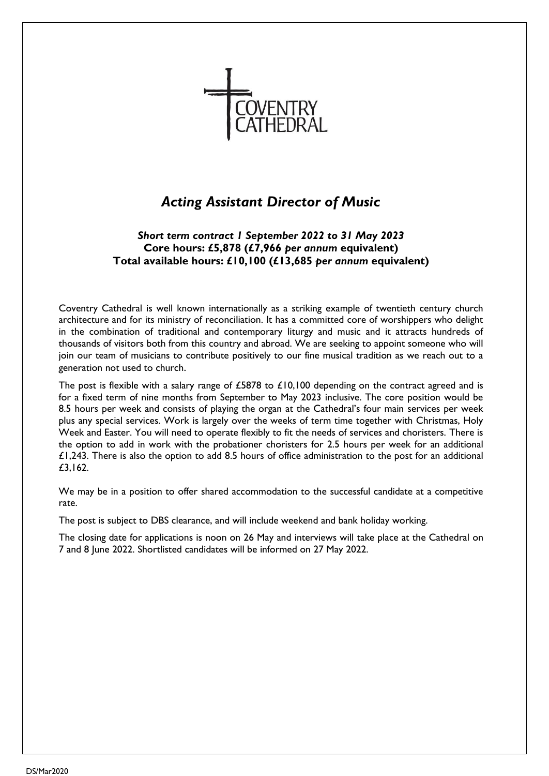

# *Acting Assistant Director of Music*

### *Short term contract 1 September 2022 to 31 May 2023* **Core hours: £5,878 (£7,966** *per annum* **equivalent) Total available hours: £10,100 (£13,685** *per annum* **equivalent)**

Coventry Cathedral is well known internationally as a striking example of twentieth century church architecture and for its ministry of reconciliation. It has a committed core of worshippers who delight in the combination of traditional and contemporary liturgy and music and it attracts hundreds of thousands of visitors both from this country and abroad. We are seeking to appoint someone who will join our team of musicians to contribute positively to our fine musical tradition as we reach out to a generation not used to church.

The post is flexible with a salary range of £5878 to £10,100 depending on the contract agreed and is for a fixed term of nine months from September to May 2023 inclusive. The core position would be 8.5 hours per week and consists of playing the organ at the Cathedral's four main services per week plus any special services. Work is largely over the weeks of term time together with Christmas, Holy Week and Easter. You will need to operate flexibly to fit the needs of services and choristers. There is the option to add in work with the probationer choristers for 2.5 hours per week for an additional  $£1,243.$  There is also the option to add 8.5 hours of office administration to the post for an additional £3,162.

We may be in a position to offer shared accommodation to the successful candidate at a competitive rate.

The post is subject to DBS clearance, and will include weekend and bank holiday working.

The closing date for applications is noon on 26 May and interviews will take place at the Cathedral on 7 and 8 June 2022. Shortlisted candidates will be informed on 27 May 2022.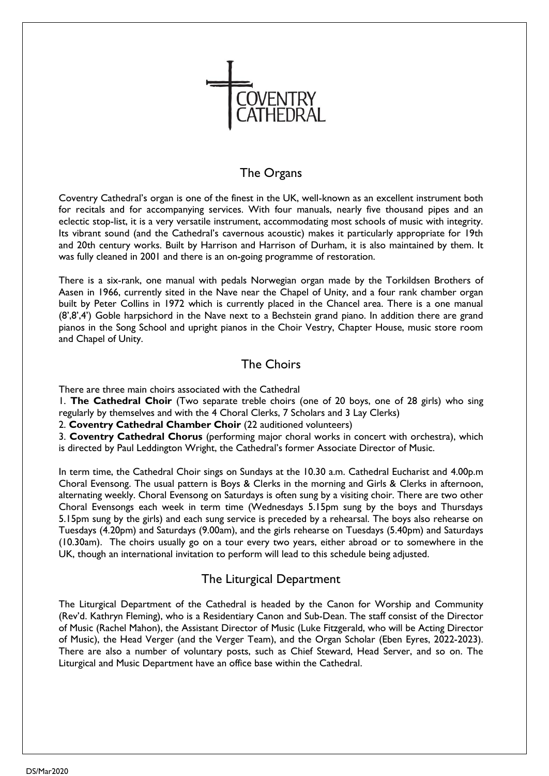

### The Organs

Coventry Cathedral's organ is one of the finest in the UK, well-known as an excellent instrument both for recitals and for accompanying services. With four manuals, nearly five thousand pipes and an eclectic stop-list, it is a very versatile instrument, accommodating most schools of music with integrity. Its vibrant sound (and the Cathedral's cavernous acoustic) makes it particularly appropriate for 19th and 20th century works. Built by Harrison and Harrison of Durham, it is also maintained by them. It was fully cleaned in 2001 and there is an on-going programme of restoration.

There is a six-rank, one manual with pedals Norwegian organ made by the Torkildsen Brothers of Aasen in 1966, currently sited in the Nave near the Chapel of Unity, and a four rank chamber organ built by Peter Collins in 1972 which is currently placed in the Chancel area. There is a one manual (8',8',4') Goble harpsichord in the Nave next to a Bechstein grand piano. In addition there are grand pianos in the Song School and upright pianos in the Choir Vestry, Chapter House, music store room and Chapel of Unity.

### The Choirs

There are three main choirs associated with the Cathedral

1. **The Cathedral Choir** (Two separate treble choirs (one of 20 boys, one of 28 girls) who sing regularly by themselves and with the 4 Choral Clerks, 7 Scholars and 3 Lay Clerks)

2. **Coventry Cathedral Chamber Choir** (22 auditioned volunteers)

3. **Coventry Cathedral Chorus** (performing major choral works in concert with orchestra), which is directed by Paul Leddington Wright, the Cathedral's former Associate Director of Music.

In term time, the Cathedral Choir sings on Sundays at the 10.30 a.m. Cathedral Eucharist and 4.00p.m Choral Evensong. The usual pattern is Boys & Clerks in the morning and Girls & Clerks in afternoon, alternating weekly. Choral Evensong on Saturdays is often sung by a visiting choir. There are two other Choral Evensongs each week in term time (Wednesdays 5.15pm sung by the boys and Thursdays 5.15pm sung by the girls) and each sung service is preceded by a rehearsal. The boys also rehearse on Tuesdays (4.20pm) and Saturdays (9.00am), and the girls rehearse on Tuesdays (5.40pm) and Saturdays (10.30am). The choirs usually go on a tour every two years, either abroad or to somewhere in the UK, though an international invitation to perform will lead to this schedule being adjusted.

### The Liturgical Department

The Liturgical Department of the Cathedral is headed by the Canon for Worship and Community (Rev'd. Kathryn Fleming), who is a Residentiary Canon and Sub-Dean. The staff consist of the Director of Music (Rachel Mahon), the Assistant Director of Music (Luke Fitzgerald, who will be Acting Director of Music), the Head Verger (and the Verger Team), and the Organ Scholar (Eben Eyres, 2022-2023). There are also a number of voluntary posts, such as Chief Steward, Head Server, and so on. The Liturgical and Music Department have an office base within the Cathedral.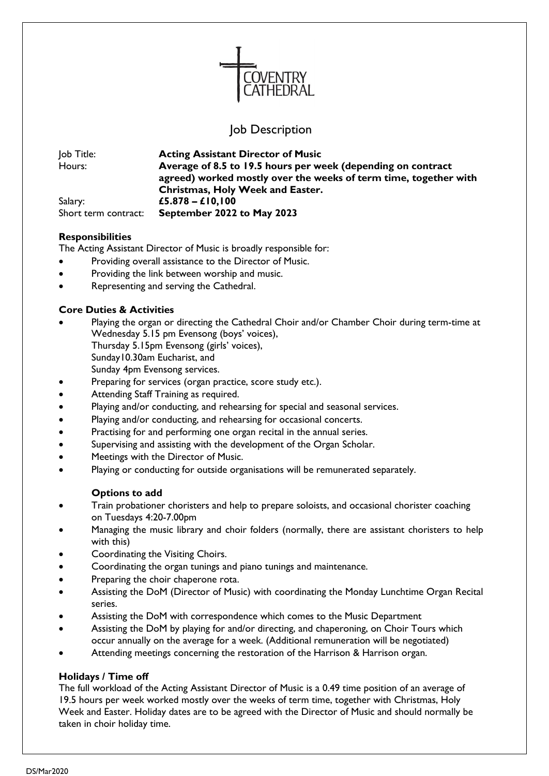

### Job Description

| Job Title:           | <b>Acting Assistant Director of Music</b>                        |
|----------------------|------------------------------------------------------------------|
| Hours:               | Average of 8.5 to 19.5 hours per week (depending on contract     |
|                      | agreed) worked mostly over the weeks of term time, together with |
|                      | <b>Christmas, Holy Week and Easter.</b>                          |
| Salary:              | £5.878 – £10,100                                                 |
| Short term contract: | September 2022 to May 2023                                       |

#### **Responsibilities**

The Acting Assistant Director of Music is broadly responsible for:

- Providing overall assistance to the Director of Music.
- Providing the link between worship and music.
- Representing and serving the Cathedral.

#### **Core Duties & Activities**

- Playing the organ or directing the Cathedral Choir and/or Chamber Choir during term-time at Wednesday 5.15 pm Evensong (boys' voices),
	- Thursday 5.15pm Evensong (girls' voices), Sunday10.30am Eucharist, and
	- Sunday 4pm Evensong services.
- Preparing for services (organ practice, score study etc.).
- Attending Staff Training as required.
- Playing and/or conducting, and rehearsing for special and seasonal services.
- Playing and/or conducting, and rehearsing for occasional concerts.
- Practising for and performing one organ recital in the annual series.
- Supervising and assisting with the development of the Organ Scholar.
- Meetings with the Director of Music.
- Playing or conducting for outside organisations will be remunerated separately.

### **Options to add**

- Train probationer choristers and help to prepare soloists, and occasional chorister coaching on Tuesdays 4:20-7.00pm
- Managing the music library and choir folders (normally, there are assistant choristers to help with this)
- Coordinating the Visiting Choirs.
- Coordinating the organ tunings and piano tunings and maintenance.
- Preparing the choir chaperone rota.
- Assisting the DoM (Director of Music) with coordinating the Monday Lunchtime Organ Recital series.
- Assisting the DoM with correspondence which comes to the Music Department
- Assisting the DoM by playing for and/or directing, and chaperoning, on Choir Tours which occur annually on the average for a week. (Additional remuneration will be negotiated)
- Attending meetings concerning the restoration of the Harrison & Harrison organ.

### **Holidays / Time off**

The full workload of the Acting Assistant Director of Music is a 0.49 time position of an average of 19.5 hours per week worked mostly over the weeks of term time, together with Christmas, Holy Week and Easter. Holiday dates are to be agreed with the Director of Music and should normally be taken in choir holiday time.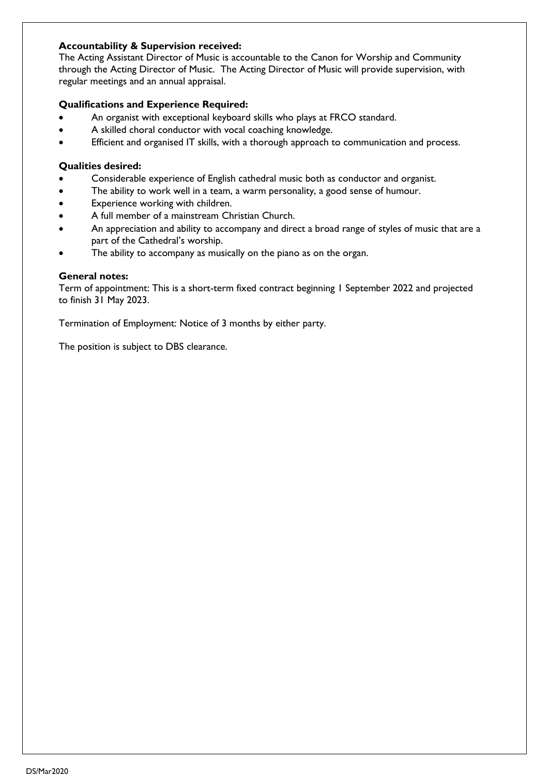### **Accountability & Supervision received:**

The Acting Assistant Director of Music is accountable to the Canon for Worship and Community through the Acting Director of Music. The Acting Director of Music will provide supervision, with regular meetings and an annual appraisal.

### **Qualifications and Experience Required:**

- An organist with exceptional keyboard skills who plays at FRCO standard.
- A skilled choral conductor with vocal coaching knowledge.
- Efficient and organised IT skills, with a thorough approach to communication and process.

#### **Qualities desired:**

- Considerable experience of English cathedral music both as conductor and organist.
- The ability to work well in a team, a warm personality, a good sense of humour.
- Experience working with children.
- A full member of a mainstream Christian Church.
- An appreciation and ability to accompany and direct a broad range of styles of music that are a part of the Cathedral's worship.
- The ability to accompany as musically on the piano as on the organ.

#### **General notes:**

Term of appointment: This is a short-term fixed contract beginning 1 September 2022 and projected to finish 31 May 2023.

Termination of Employment: Notice of 3 months by either party.

The position is subject to DBS clearance.